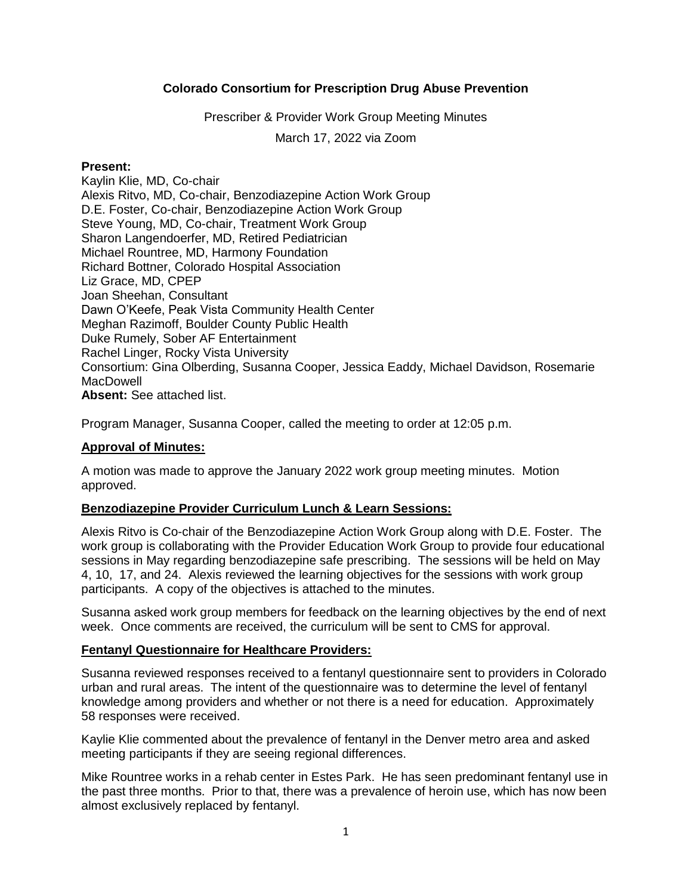# **Colorado Consortium for Prescription Drug Abuse Prevention**

Prescriber & Provider Work Group Meeting Minutes

March 17, 2022 via Zoom

### **Present:**

Kaylin Klie, MD, Co-chair Alexis Ritvo, MD, Co-chair, Benzodiazepine Action Work Group D.E. Foster, Co-chair, Benzodiazepine Action Work Group Steve Young, MD, Co-chair, Treatment Work Group Sharon Langendoerfer, MD, Retired Pediatrician Michael Rountree, MD, Harmony Foundation Richard Bottner, Colorado Hospital Association Liz Grace, MD, CPEP Joan Sheehan, Consultant Dawn O'Keefe, Peak Vista Community Health Center Meghan Razimoff, Boulder County Public Health Duke Rumely, Sober AF Entertainment Rachel Linger, Rocky Vista University Consortium: Gina Olberding, Susanna Cooper, Jessica Eaddy, Michael Davidson, Rosemarie MacDowell **Absent:** See attached list.

Program Manager, Susanna Cooper, called the meeting to order at 12:05 p.m.

# **Approval of Minutes:**

A motion was made to approve the January 2022 work group meeting minutes. Motion approved.

### **Benzodiazepine Provider Curriculum Lunch & Learn Sessions:**

Alexis Ritvo is Co-chair of the Benzodiazepine Action Work Group along with D.E. Foster. The work group is collaborating with the Provider Education Work Group to provide four educational sessions in May regarding benzodiazepine safe prescribing. The sessions will be held on May 4, 10, 17, and 24. Alexis reviewed the learning objectives for the sessions with work group participants. A copy of the objectives is attached to the minutes.

Susanna asked work group members for feedback on the learning objectives by the end of next week. Once comments are received, the curriculum will be sent to CMS for approval.

### **Fentanyl Questionnaire for Healthcare Providers:**

Susanna reviewed responses received to a fentanyl questionnaire sent to providers in Colorado urban and rural areas. The intent of the questionnaire was to determine the level of fentanyl knowledge among providers and whether or not there is a need for education. Approximately 58 responses were received.

Kaylie Klie commented about the prevalence of fentanyl in the Denver metro area and asked meeting participants if they are seeing regional differences.

Mike Rountree works in a rehab center in Estes Park. He has seen predominant fentanyl use in the past three months. Prior to that, there was a prevalence of heroin use, which has now been almost exclusively replaced by fentanyl.